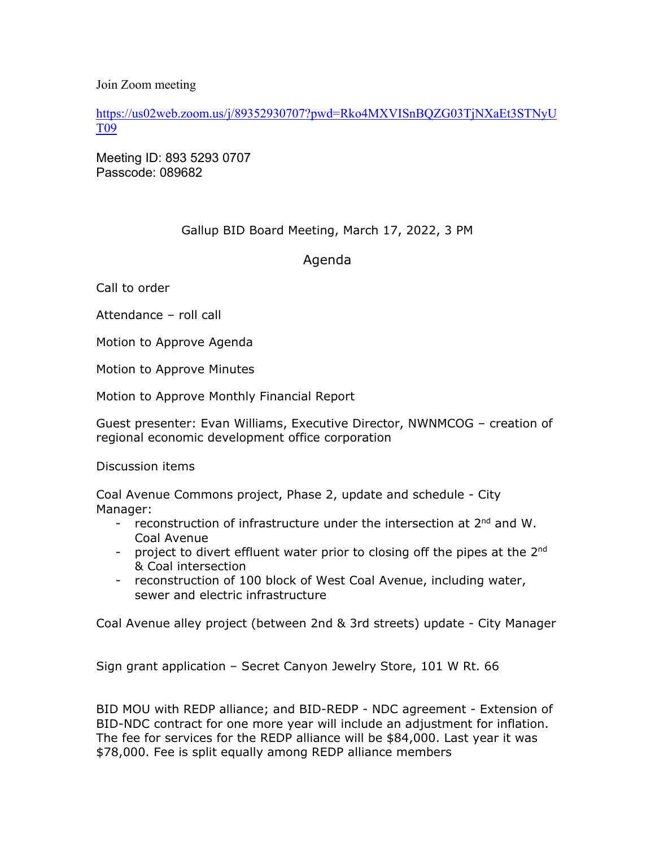Join Zoom meeting

https://us02web.zoom.us/j/89352930707?pwd=Rko4MXVISnBQZG03TjNXaEt3STNyU T09

Meeting ID: 893 5293 0707 Passcode: 089682

## Gallup BID Board Meeting, March 17, 2022, 3 PM

## Agenda

Call to order

Attendance – roll call

Motion to Approve Agenda

Motion to Approve Minutes

Motion to Approve Monthly Financial Report

Guest presenter: Evan Williams, Executive Director, NWNMCOG – creation of regional economic development office corporation

Discussion items

Coal Avenue Commons project, Phase 2, update and schedule - City Manager:

- reconstruction of infrastructure under the intersection at 2<sup>nd</sup> and W. Coal Avenue
- project to divert effluent water prior to closing off the pipes at the  $2^{nd}$ & Coal intersection
- reconstruction of 100 block of West Coal Avenue, including water, sewer and electric infrastructure

Coal Avenue alley project (between 2nd & 3rd streets) update - City Manager

Sign grant application – Secret Canyon Jewelry Store, 101 W Rt. 66

BID MOU with REDP alliance; and BID-REDP - NDC agreement - Extension of BID-NDC contract for one more year will include an adjustment for inflation. The fee for services for the REDP alliance will be \$84,000. Last year it was \$78,000. Fee is split equally among REDP alliance members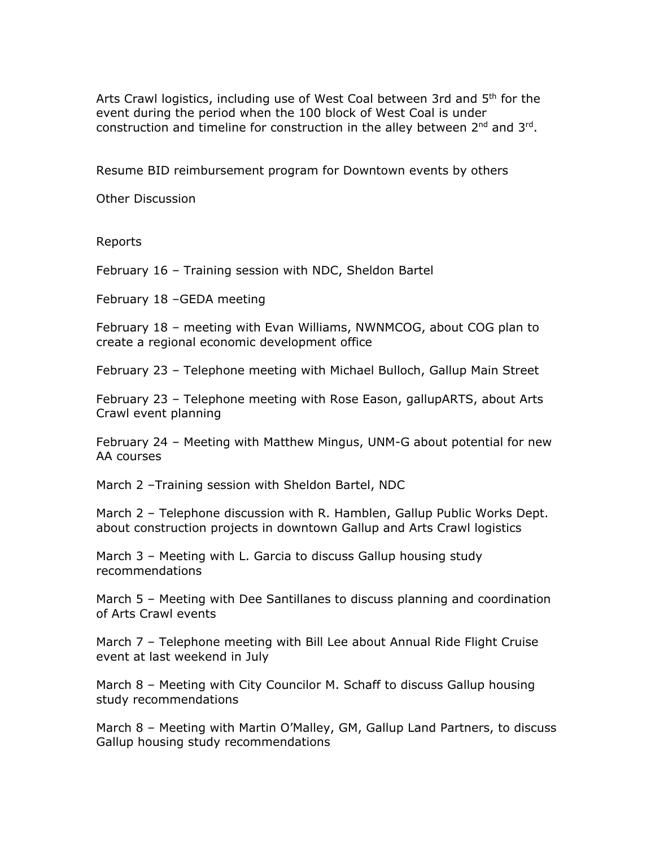Arts Crawl logistics, including use of West Coal between 3rd and 5<sup>th</sup> for the event during the period when the 100 block of West Coal is under construction and timeline for construction in the alley between  $2^{nd}$  and  $3^{rd}$ .

Resume BID reimbursement program for Downtown events by others

Other Discussion

Reports

February 16 – Training session with NDC, Sheldon Bartel

February 18 –GEDA meeting

February 18 – meeting with Evan Williams, NWNMCOG, about COG plan to create a regional economic development office

February 23 – Telephone meeting with Michael Bulloch, Gallup Main Street

February 23 – Telephone meeting with Rose Eason, gallupARTS, about Arts Crawl event planning

February 24 – Meeting with Matthew Mingus, UNM-G about potential for new AA courses

March 2 –Training session with Sheldon Bartel, NDC

March 2 – Telephone discussion with R. Hamblen, Gallup Public Works Dept. about construction projects in downtown Gallup and Arts Crawl logistics

March 3 – Meeting with L. Garcia to discuss Gallup housing study recommendations

March 5 – Meeting with Dee Santillanes to discuss planning and coordination of Arts Crawl events

March 7 – Telephone meeting with Bill Lee about Annual Ride Flight Cruise event at last weekend in July

March 8 – Meeting with City Councilor M. Schaff to discuss Gallup housing study recommendations

March 8 – Meeting with Martin O'Malley, GM, Gallup Land Partners, to discuss Gallup housing study recommendations